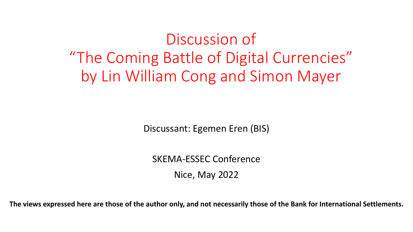Discussion of "The Coming Battle of Digital Currencies" by Lin William Cong and Simon Mayer

Discussant: Egemen Eren (BIS)

SKEMA-ESSEC Conference Nice, May 2022

**The views expressed here are those of the author only, and not necessarily those of the Bank for International Settlements.**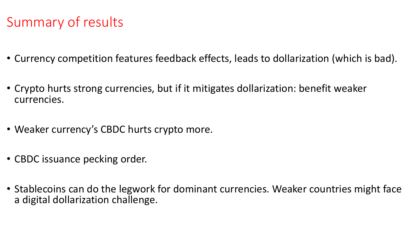# Summary of results

- Currency competition features feedback effects, leads to dollarization (which is bad).
- Crypto hurts strong currencies, but if it mitigates dollarization: benefit weaker currencies.
- Weaker currency's CBDC hurts crypto more.
- CBDC issuance pecking order.
- Stablecoins can do the legwork for dominant currencies. Weaker countries might face a digital dollarization challenge.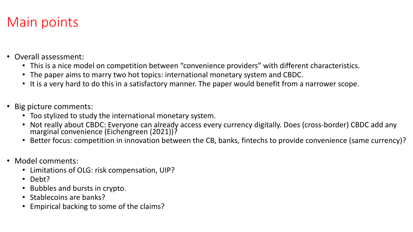## Main points

- Overall assessment:
	- This is a nice model on competition between "convenience providers" with different characteristics.
	- The paper aims to marry two hot topics: international monetary system and CBDC.
	- It is a very hard to do this in a satisfactory manner. The paper would benefit from a narrower scope.
- Big picture comments:
	- Too stylized to study the international monetary system.
	- Not really about CBDC: Everyone can already access every currency digitally. Does (cross-border) CBDC add any<br>marginal convenience (Eichengreen (2021))?
	- Better focus: competition in innovation between the CB, banks, fintechs to provide convenience (same currency)?
- Model comments:
	- Limitations of OLG: risk compensation, UIP?
	- Debt?
	- Bubbles and bursts in crypto.
	- Stablecoins are banks?
	- Empirical backing to some of the claims?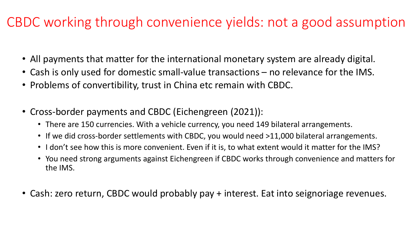### CBDC working through convenience yields: not a good assumption

- All payments that matter for the international monetary system are already digital.
- Cash is only used for domestic small-value transactions no relevance for the IMS.
- Problems of convertibility, trust in China etc remain with CBDC.
- Cross-border payments and CBDC (Eichengreen (2021)):
	- There are 150 currencies. With a vehicle currency, you need 149 bilateral arrangements.
	- If we did cross-border settlements with CBDC, you would need >11,000 bilateral arrangements.
	- I don't see how this is more convenient. Even if it is, to what extent would it matter for the IMS?
	- You need strong arguments against Eichengreen if CBDC works through convenience and matters for the IMS.
- Cash: zero return, CBDC would probably pay + interest. Eat into seignoriage revenues.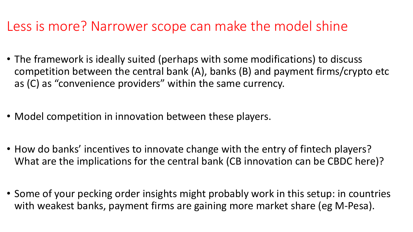#### Less is more? Narrower scope can make the model shine

- The framework is ideally suited (perhaps with some modifications) to discuss competition between the central bank (A), banks (B) and payment firms/crypto etc as (C) as "convenience providers" within the same currency.
- Model competition in innovation between these players.
- How do banks' incentives to innovate change with the entry of fintech players? What are the implications for the central bank (CB innovation can be CBDC here)?
- Some of your pecking order insights might probably work in this setup: in countries with weakest banks, payment firms are gaining more market share (eg M-Pesa).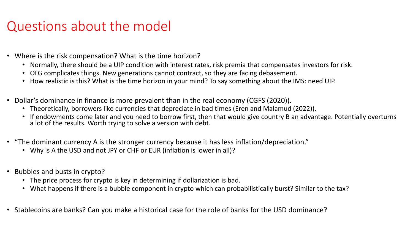#### Questions about the model

- Where is the risk compensation? What is the time horizon?
	- Normally, there should be a UIP condition with interest rates, risk premia that compensates investors for risk.
	- OLG complicates things. New generations cannot contract, so they are facing debasement.
	- How realistic is this? What is the time horizon in your mind? To say something about the IMS: need UIP.
- Dollar's dominance in finance is more prevalent than in the real economy (CGFS (2020)).
	- Theoretically, borrowers like currencies that depreciate in bad times (Eren and Malamud (2022)).
	- If endowments come later and you need to borrow first, then that would give country B an advantage. Potentially overturns a lot of the results. Worth trying to solve a version with debt.
- "The dominant currency A is the stronger currency because it has less inflation/depreciation."
	- Why is A the USD and not JPY or CHF or EUR (inflation is lower in all)?
- Bubbles and busts in crypto?
	- The price process for crypto is key in determining if dollarization is bad.
	- What happens if there is a bubble component in crypto which can probabilistically burst? Similar to the tax?
- Stablecoins are banks? Can you make a historical case for the role of banks for the USD dominance?